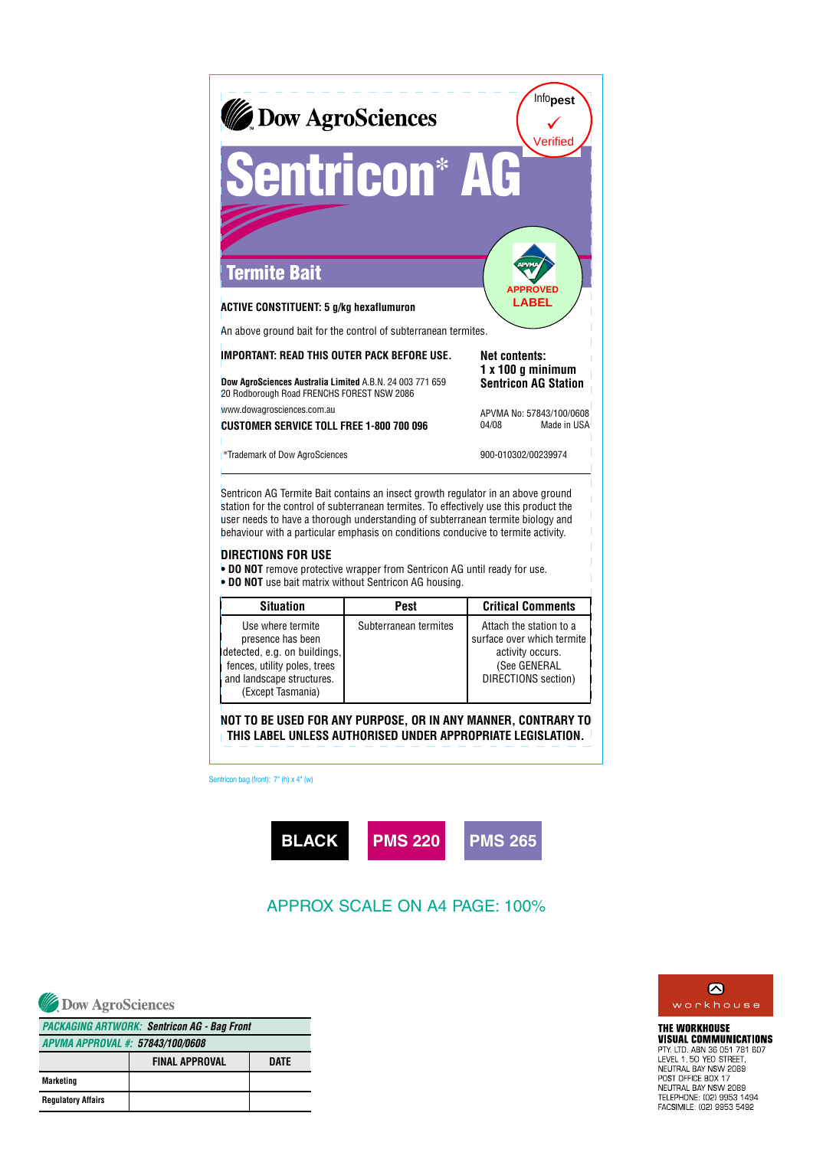

## **DIRECTIONS FOR USE**

**• DO NOT** remove protective wrapper from Sentricon AG until ready for use.

**• DO NOT** use bait matrix without Sentricon AG housing.

| <b>Situation</b>                                                                                                                                         | <b>Pest</b>           | <b>Critical Comments</b>                                                                                         |
|----------------------------------------------------------------------------------------------------------------------------------------------------------|-----------------------|------------------------------------------------------------------------------------------------------------------|
| Use where termite<br>presence has been<br>detected, e.g. on buildings,<br>fences, utility poles, trees<br>and landscape structures.<br>(Except Tasmania) | Subterranean termites | Attach the station to a<br>surface over which termite<br>activity occurs.<br>(See GENERAL<br>DIRECTIONS section) |

**NOT TO BE USED FOR ANY PURPOSE, OR IN ANY MANNER, CONTRARY TO THIS LABEL UNLESS AUTHORISED UNDER APPROPRIATE LEGISLATION.**

Sentricon bag (front): 7" (h) x 4" (w)



## APPROX SCALE ON A4 PAGE: 100%

Dow AgroSciences

| <b>PACKAGING ARTWORK: Sentricon AG - Bag Front</b> |                       |      |
|----------------------------------------------------|-----------------------|------|
| APVMA APPROVAL #: 57843/100/0608                   |                       |      |
|                                                    | <b>FINAL APPROVAL</b> | DATE |
| Marketing                                          |                       |      |
| <b>Regulatory Affairs</b>                          |                       |      |



**THE WORKHOUSE VISUAL COMMUNICATIONS PIDOAL DOMINIORIORIION**<br>PTY LTD, ABN 36 051 781 607<br>LEVEL 1, 50 YEO STREET,<br>NEUTRAL BAY NSW 2089 POST OFFICE BOX 17<br>NEUTRAL BAY NSW 2089 TELEPHONE: (02) 9953 1494 FACSIMILE: (02) 9953 5492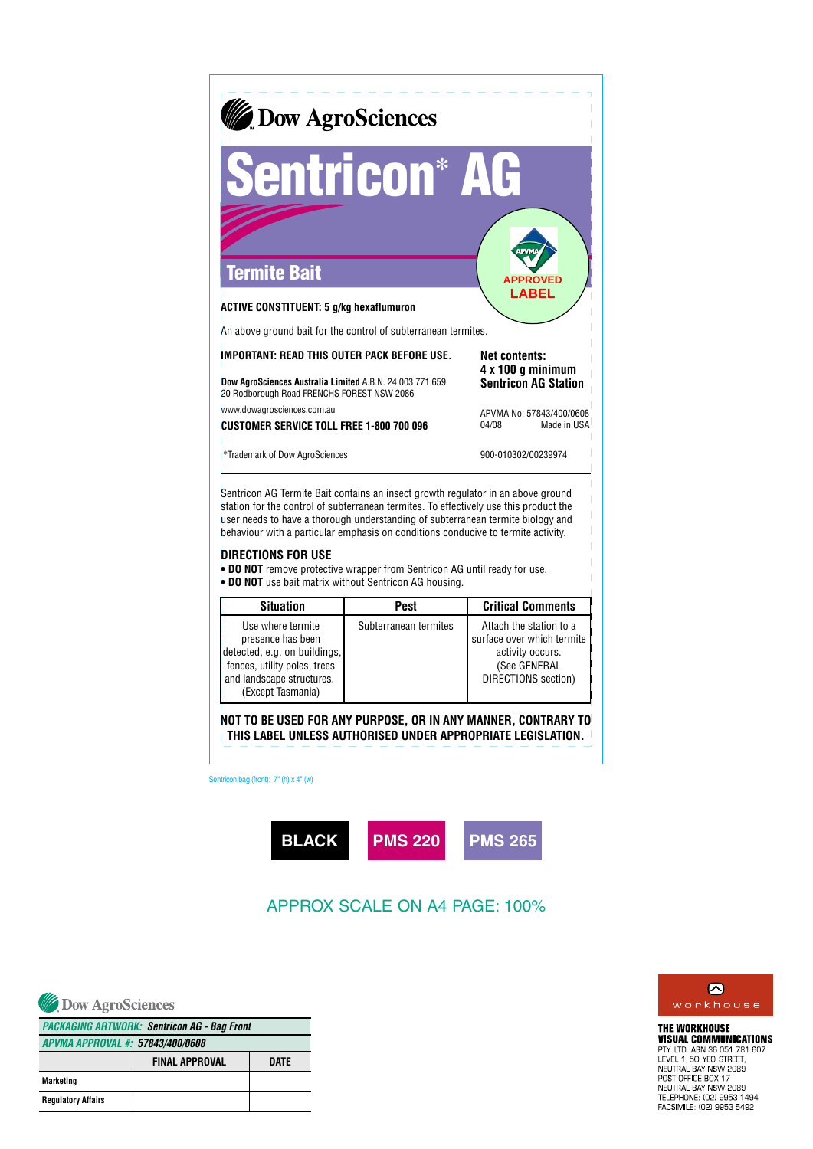

Sentricon AG Termite Bait contains an insect growth regulator in an above ground station for the control of subterranean termites. To effectively use this product the user needs to have a thorough understanding of subterranean termite biology and behaviour with a particular emphasis on conditions conducive to termite activity.

## **DIRECTIONS FOR USE**

**• DO NOT** remove protective wrapper from Sentricon AG until ready for use.

**• DO NOT** use bait matrix without Sentricon AG housing.

| <b>Situation</b>                                                                                                                                         | <b>Pest</b>           | <b>Critical Comments</b>                                                                                         |
|----------------------------------------------------------------------------------------------------------------------------------------------------------|-----------------------|------------------------------------------------------------------------------------------------------------------|
| Use where termite<br>presence has been<br>detected, e.g. on buildings,<br>fences, utility poles, trees<br>and landscape structures.<br>(Except Tasmania) | Subterranean termites | Attach the station to a<br>surface over which termite<br>activity occurs.<br>(See GENERAL<br>DIRECTIONS section) |

**NOT TO BE USED FOR ANY PURPOSE, OR IN ANY MANNER, CONTRARY TO THIS LABEL UNLESS AUTHORISED UNDER APPROPRIATE LEGISLATION.**

Sentricon bag (front): 7" (h) x 4" (w)



## APPROX SCALE ON A4 PAGE: 100%

Dow AgroSciences

| <b>PACKAGING ARTWORK: Sentricon AG - Bag Front</b> |                       |      |  |
|----------------------------------------------------|-----------------------|------|--|
| APVMA APPROVAL #: 57843/400/0608                   |                       |      |  |
|                                                    | <b>FINAL APPROVAL</b> | DATE |  |
| Marketing                                          |                       |      |  |
| <b>Regulatory Affairs</b>                          |                       |      |  |



**THE WORKHOUSE VISUAL COMMUNICATIONS PIDOAL DOMINIORIORIION**<br>PTY LTD, ABN 36 051 781 607<br>LEVEL 1, 50 YEO STREET,<br>NEUTRAL BAY NSW 2089 POST OFFICE BOX 17<br>NEUTRAL BAY NSW 2089 TELEPHONE: (02) 9953 1494 FACSIMILE: (02) 9953 5492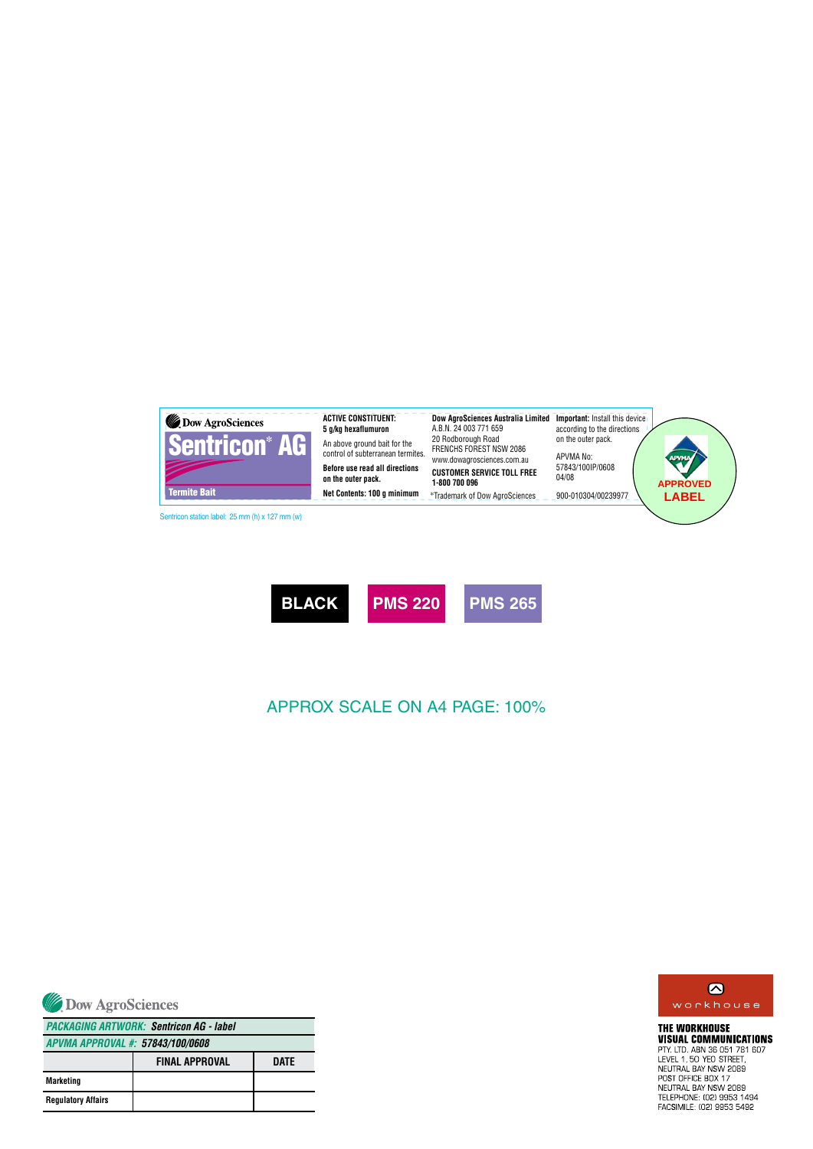



APPROX SCALE ON A4 PAGE: 100%



**FINAL APPROVAL Marketing Regulatory Affairs DATE** *APVMA APPROVAL #: 57843/100/0608 PACKAGING ARTWORK: Sentricon AG - label*



**THE WORKHOUSE VISUAL COMMUNICATIONS VISUAL COMMUNICATION**<br>PTY. LTD. ABN 36 051 781<br>LEVEL 1, 50 YEO STREET,<br>NEUTRAL BAY NSW 2089<br>POST OFFICE BOX 17<br>NEUTRAL BAY NSW 2089<br>TELEPHONE: (02) 9953 1494<br>FACSIMILE: (02) 9953 5492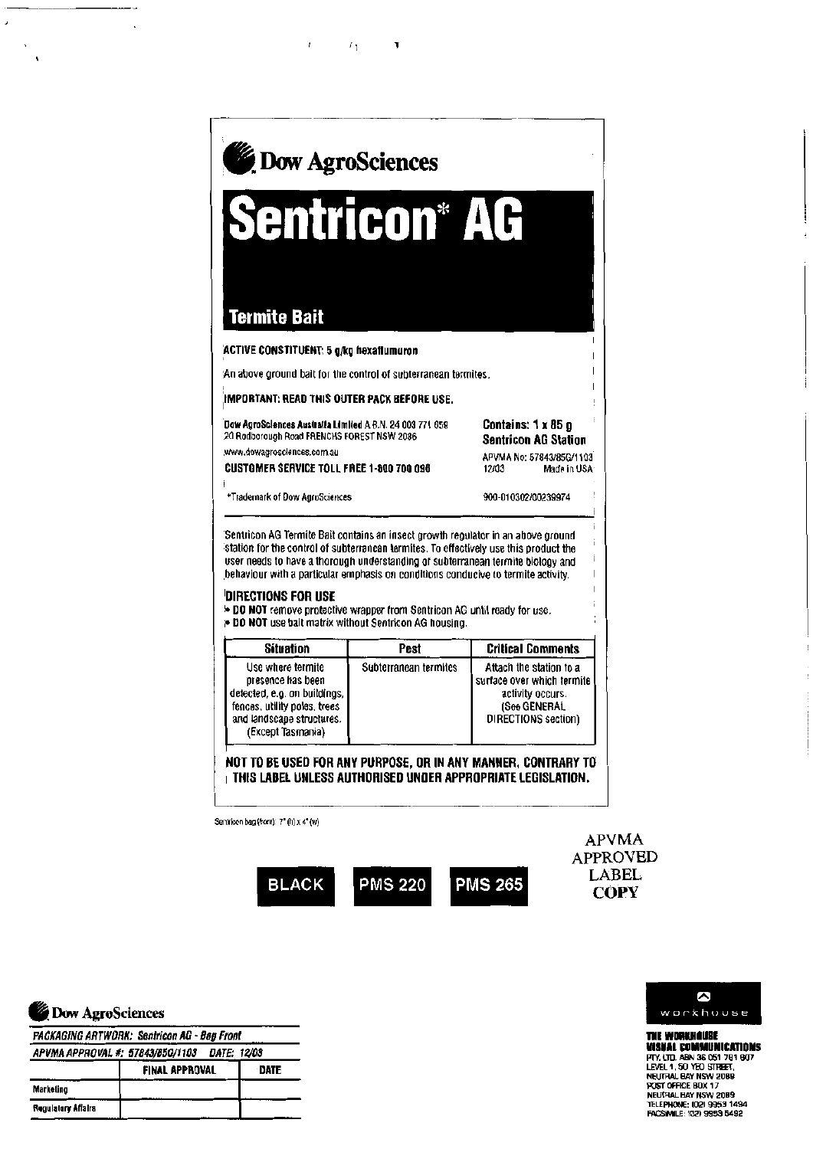

 $T_{\rm L}$ 

Y





**LABEL** 

**COPY** 

THE WORKHOUSE **VISUAL COMMUNICATIONS** THE UTCH ABN 36 061 781 807<br>LEVEL 1, 50 YEO STREET,<br>NEUTRAL BAY NSW 2089<br>POST OFFICE BOX 17 NEUTRAL BAY NSW 2089<br>TELEPHONE: (02) 9953 1494<br>FACSIVILE: (02) 9953 5492

|  | Dow AgroSciences |
|--|------------------|
|  |                  |

**PACKAGING ARTWORK: Sentricon AG - Bag Front** 

|                    | APVMA APPROVAL #: 57843/85G/1103 DATE: 12/03 |             |
|--------------------|----------------------------------------------|-------------|
|                    | <b>FINAL APPROVAL</b>                        | <b>DATE</b> |
| Marketing          |                                              |             |
| Regulatory Affairs |                                              |             |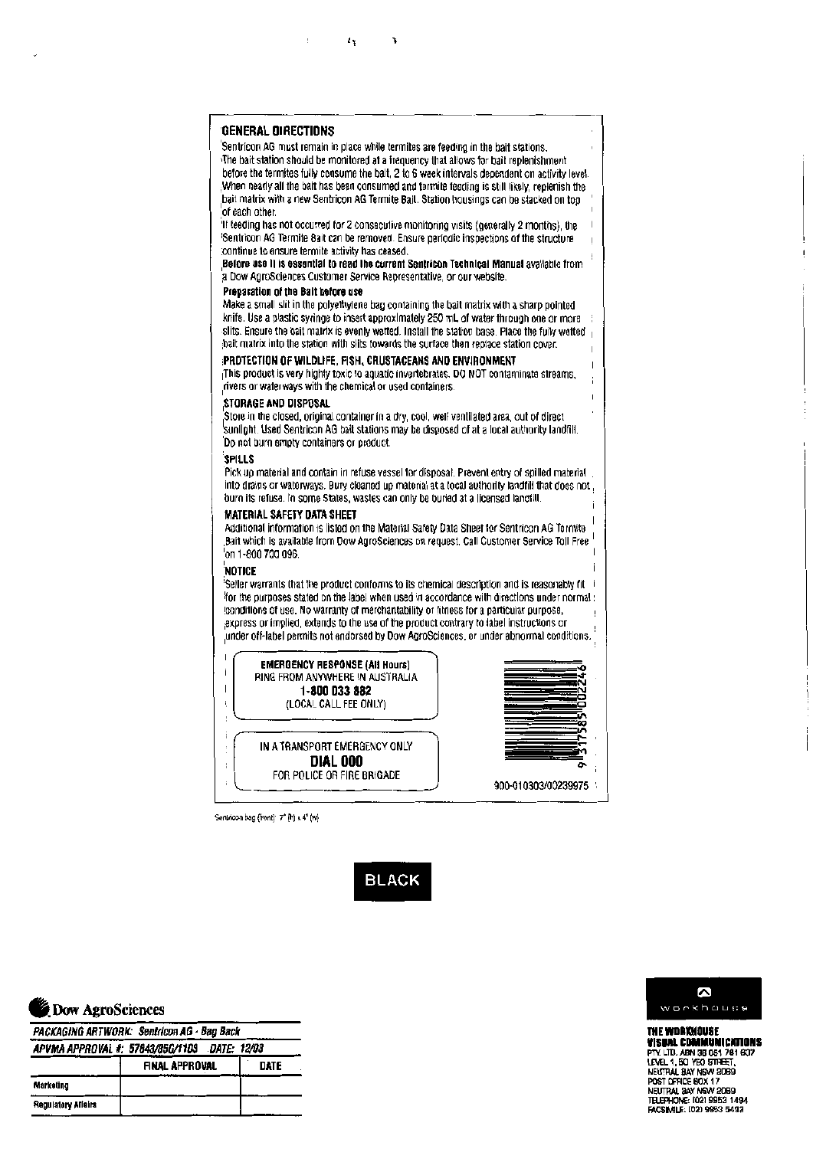|                   | <b>General Directions</b>                                                                                                                                                                                                                                                                                                                                                                                                                                                             |
|-------------------|---------------------------------------------------------------------------------------------------------------------------------------------------------------------------------------------------------------------------------------------------------------------------------------------------------------------------------------------------------------------------------------------------------------------------------------------------------------------------------------|
|                   | Sentricon AG must remain in place while termites are feeding in the bait stations.<br>The bait station should be monitored at a frequency that allows for bait replenishment<br>before the termites fully consume the balt, 2 to 6 week intervals dependent on activity level.                                                                                                                                                                                                        |
|                   | When nearly all the bait has been consumed and termite feeding is still likely, replenish the<br>bait matrix with a new Sentricon AG Termite Bait. Station housings can be stacked on top.<br>of each other.                                                                                                                                                                                                                                                                          |
|                   | If teeding has not occurred for 2 consecutive monitoring visits (generally 2 months), the<br>Sentricon AG Termite Bait can be removed. Ensure periodic inspections of the structure<br>continue to ensure termite activity has ceased.                                                                                                                                                                                                                                                |
|                   | Before use it is essential to read the current Sentricon Technical Manual available from<br>a Dow AgroSciences Customer Service Representative, or our website.                                                                                                                                                                                                                                                                                                                       |
|                   | Preparation of the Balt before use<br>Make a small slit in the polyethylene bag containing the bait matrix with a sharp pointed.                                                                                                                                                                                                                                                                                                                                                      |
|                   | knife. Use a plastic syringe to insert approximately 250 mL of water through one or more<br>slits. Ensure the bait matrix is evenly wetted. Install the station base. Place the fully wetted $_1$<br>bait matrix into the station with slits towards the surface then replace station cover.                                                                                                                                                                                          |
|                   | PROTECTION OF WILDLIFE, FISH, CRUSTACEANS AND ENVIRONMENT<br>This product is very highly toxic to aquatic invertebrates. DO NOT contaminate streams,<br>rivers or waterways with the chemical or used containers.                                                                                                                                                                                                                                                                     |
|                   | STORAGE AND DISPOSAL<br>Store in the closed, original container in a dry, cool, well ventilated area, out of direct<br>sunlight. Used Sentricon AG bait stations may be disposed of at a local authority landfill.<br>Do not burn empty containers or product.                                                                                                                                                                                                                        |
|                   | <b>SPILLS</b><br>Pick up material and contain in refuse vessel for disposal. Prevent entry of spilled material<br>into drains or waterways. Bury cleaned up material at a tocal authority landfill that does not<br>burn its refuse, in some States, wastes can only be buried at a licensed landfill.                                                                                                                                                                                |
|                   | <b>MATERIAL SAFETY DATA SHEET</b><br>Additional information is listed on the Material Safety Data Sheet for Sentricon AG Termite<br>Bait which is available from Dow AgroSciences on request. Call Customer Service Toll Free 1<br>'on 1-800 700 096.                                                                                                                                                                                                                                 |
|                   | NOTICE<br>Seller warrants that the product conforms to its chemical description and is reasonably fit<br>tor the purposes stated on the label when used in accordance with directions under normal :<br>conditions of use. No warranty of merchantability or fitness for a particular purpose,<br>express or implied, extends to the use of the product contrary to label instructions or,<br>under off-label permits not endorsed by Dow AgroSciences, or under abnormal conditions. |
| ı<br>İ<br>ı<br>î, | <b>EMERGENCY RESPONSE (AII Hours)</b><br>RING FROM ANYWHERE IN AUSTRALIA<br>1-800 033 882<br>(LOCAL CALL FEE ONLY)                                                                                                                                                                                                                                                                                                                                                                    |
| ı                 |                                                                                                                                                                                                                                                                                                                                                                                                                                                                                       |
| ţ.                | IN A TRANSPORT EMERGENCY ONLY<br><b>DIAL 000</b>                                                                                                                                                                                                                                                                                                                                                                                                                                      |
|                   | FOR POLICE OR FIRE BRIGADE                                                                                                                                                                                                                                                                                                                                                                                                                                                            |

 $\bar{f}$ 

 $\mathcal{A}_Y$  . <br> <br>  $\mathcal{A}$ 

Sentricon bag (front):  $7^*$  (h) x 4" (w)

**BLACK** 



 $\downarrow$ 

| PACKAGING ARTWORK: Sentricon AG - Bag Back<br>APVMA APPROVAL #: 57843/85G/1103 DATE: 12/03 |  |  |  |
|--------------------------------------------------------------------------------------------|--|--|--|
|                                                                                            |  |  |  |
| Marketing                                                                                  |  |  |  |
| Regulatory Affeirs                                                                         |  |  |  |



**THE WORKHOUSE**<br> **THE WORKHOUSE**<br> **PTY LITE, ABN 36 051 781 607<br>
LEVEL 1, 50 YEO STREET,<br>
NEUTRAL BAY NSW 2089<br>
POST OFFICE 60X 17<br>
NEUTRAL BAY NSW 2089<br>
TELEPHONE: (02) 9953 1494<br>
FACSINILE: (02) 9953 5492<br>
FACSINILE: (02**